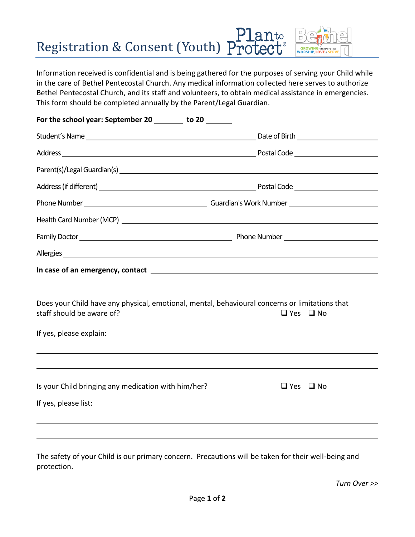# Planto<br>Registration & Consent (Youth) Protect®

Information received is confidential and is being gathered for the purposes of serving your Child while in the care of Bethel Pentecostal Church. Any medical information collected here serves to authorize Bethel Pentecostal Church, and its staff and volunteers, to obtain medical assistance in emergencies. This form should be completed annually by the Parent/Legal Guardian.

| For the school year: September 20 _______ to 20 ______                                                                                                 |                                                          |
|--------------------------------------------------------------------------------------------------------------------------------------------------------|----------------------------------------------------------|
|                                                                                                                                                        |                                                          |
|                                                                                                                                                        |                                                          |
|                                                                                                                                                        |                                                          |
|                                                                                                                                                        |                                                          |
|                                                                                                                                                        |                                                          |
|                                                                                                                                                        |                                                          |
|                                                                                                                                                        | Family Doctor <u>Community Phone Number Phone Number</u> |
|                                                                                                                                                        |                                                          |
|                                                                                                                                                        |                                                          |
| Does your Child have any physical, emotional, mental, behavioural concerns or limitations that<br>staff should be aware of?<br>If yes, please explain: | $\Box$ Yes $\Box$ No                                     |
| Is your Child bringing any medication with him/her?<br>If yes, please list:                                                                            | $\Box$ Yes $\Box$ No                                     |
|                                                                                                                                                        |                                                          |
|                                                                                                                                                        |                                                          |

The safety of your Child is our primary concern. Precautions will be taken for their well-being and protection.

*Turn Over >>*